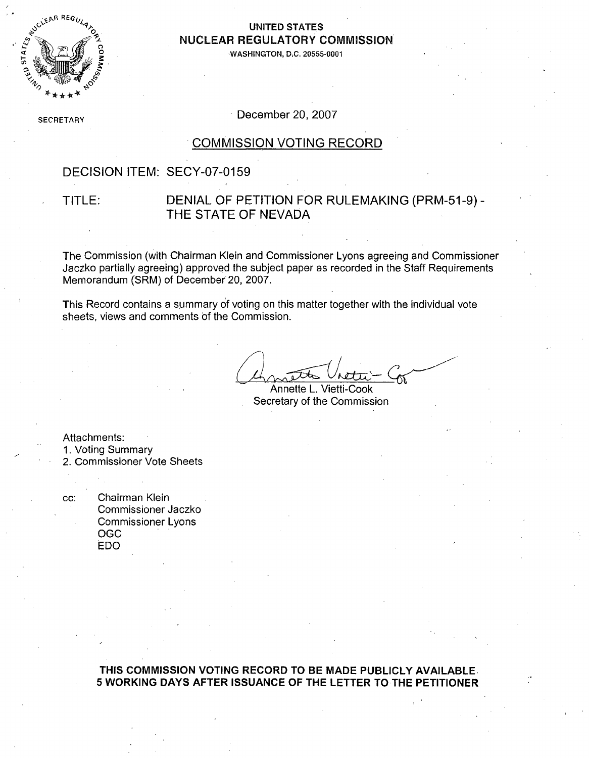

### **UNITED STATES** NUCLEAR REGULATORY COMMISSION

**WASHINGTON, D.C. 20555-0001** 

**SECRETARY** 

December 20, 2007

#### COMMISSION VOTING RECORD

#### DECISION ITEM: SECY-07-0159

### TITLE: DENIAL OF PETITION FOR RULEMAKING (PRM-51-9) - THE STATE OF NEVADA

The Commission (with Chairman Klein and Commissioner Lyons agreeing and Commissioner Jaczko partially agreeing) approved the subject paper as recorded in the Staff Requirements Memorandum (SRM) of December 20, 2007.

This Record contains a summary of voting on this matter together with the individual vote sheets, views and comments **Of** the Commission.

Annette L. Vietti-Cook Secretary of the Commission

Attachments:

- 1. Voting Summary
- 2. Commissioner Vote Sheets

cc: Chairman Klein Commissioner Jaczko Commissioner Lyons **OGC** EDO

> **THIS COMMISSION VOTING** RECORD TO BE **MADE** PUBLICLY **AVAILABLE, 5** WORKING DAYS AFTER **ISSUANCE** OF THE LETTER TO THE PETITIONER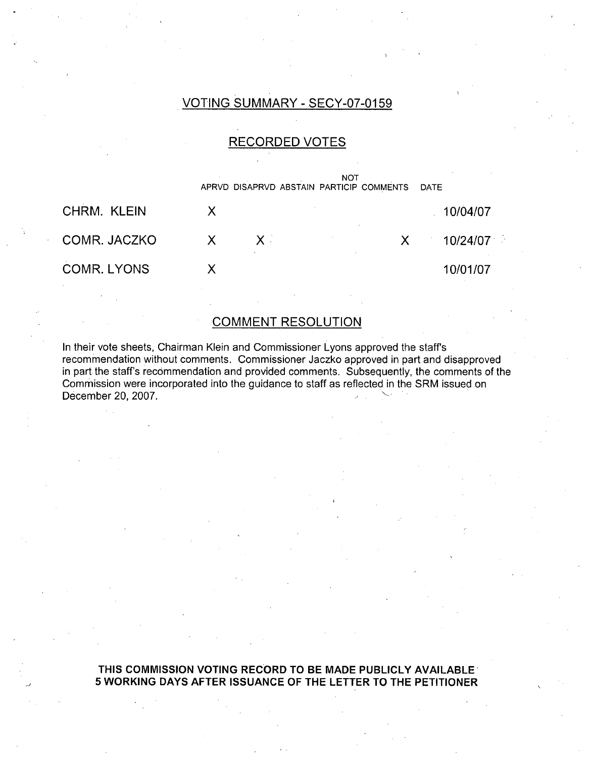### VOTING SUMMARY - SECY-07-0159

### RECORDED VOTES



#### COMMENT RESOLUTION

In their vote sheets, Chairman Klein and Commissioner Lyons approved the staffs recommendation without comments. Commissioner Jaczko approved in part and disapproved in part the staff's recommendation and provided comments. Subsequently, the comments of the Commission were incorporated into the guidance to staff as reflected in the SRM issued on December 20, 2007.

#### **THIS COMMISSION VOTING** RECORD TO BE **MADE** PUBLICLY **AVAILABLE 5** WORKING DAYS AFTER **ISSUANCE** OF THE LETTER TO THE PETITIONER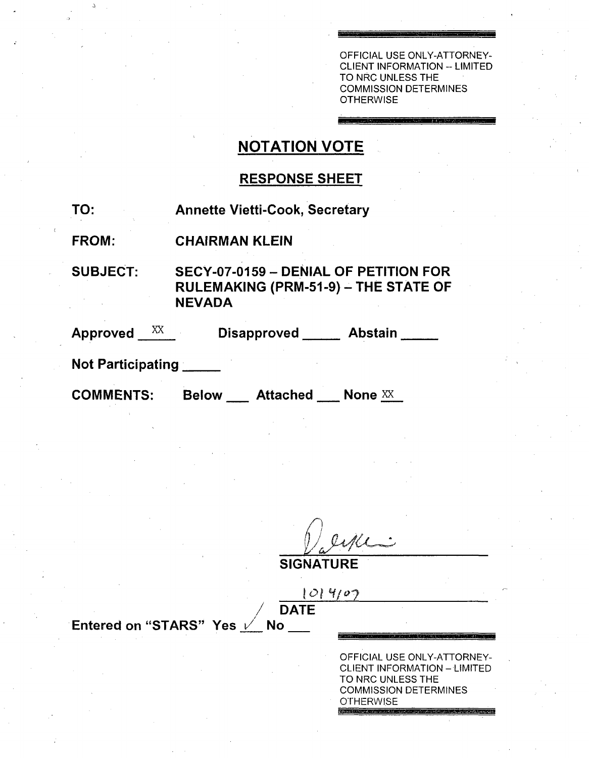OFFICIAL USE ONLY-ATTORNEY-CLIENT INFORMATION -- LIMITED TO NRC UNLESS THE COMMISSION DETERMINES **OTHERWISE** 

# NOTATION VOTE

# RESPONSE SHEET

TO: Annette Vietti-Cook, Secretary

FROM: CHAIRMAN KLEIN

SUBJECT: SECY-07-0159 - DENIAL OF PETITION FOR RULEMAKING (PRM-51-9) **-** THE STATE OF NEVADA

Approved XX Disapproved Abstain

Not Participating

COMMENTS: Below Attached None XX

 $\frac{1}{2}$ 

**SIGNATURE**

**10- ý 1.(/ 0? I/** DATE

Entered on "STARS" Yes *V* No

OFFICIAL USE ONLY-ATTORNEY-CLIENT INFORMATION **-** LIMITED TO NRC UNLESS THE COMMISSION DETERMINES **OTHERWISE**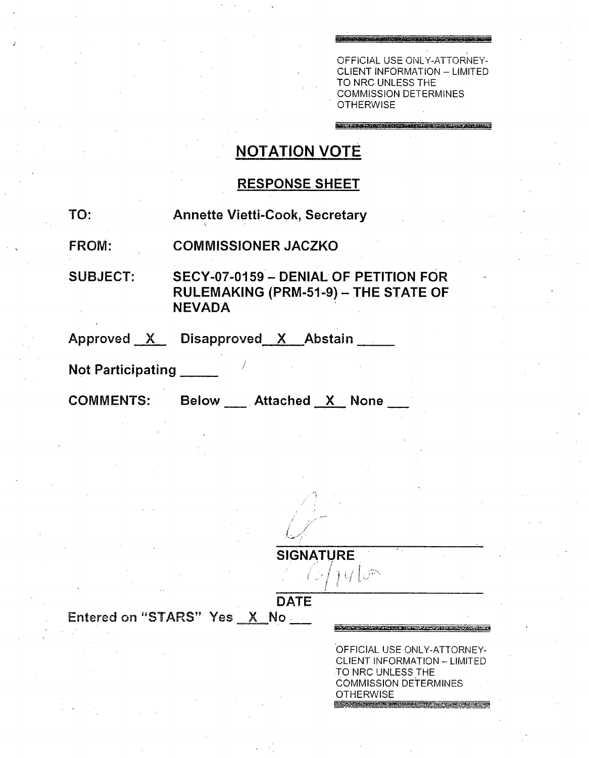OFFICIAL USE ONLY-ATTORNEY-CLIENT INFORMATION -- LIMITED TO NRC UNLESS THE COMMISSION DETERMINES **OTHERWISE** 

Seminar Republicance Liquidation of the States

# **NOTATION** VOTE

### **RESPONSE SHEET**

**TO:** Annette Vietti-Cook, Secretary

FROM: **COMMISSIONER JACZKO**

**SUBJECT:** SECY-07-0159 - DENIAL OF **PETITION** FOR **RULEMAKING** (PRM-51-9) - THE **STATE** OF NEVADA

Approved X Disapproved X Abstair

Not Participating **\_**

COMMENTS: Below Attached X None

**SIGNATURE**  $\int U\left(\bigcup\limits_{i=1}^n\right)$  $i \rightarrow I$ 

DATE

Entered on "STARS" Yes X No

OFFICIAL USE ONLY-ATTORNEY-CLIENT INFORMATION -- LIMITED TO NRC UNLESS THE COMMISSION DETERMINES **OTHERWISE** 

I PANISH RICHARD PROFILERING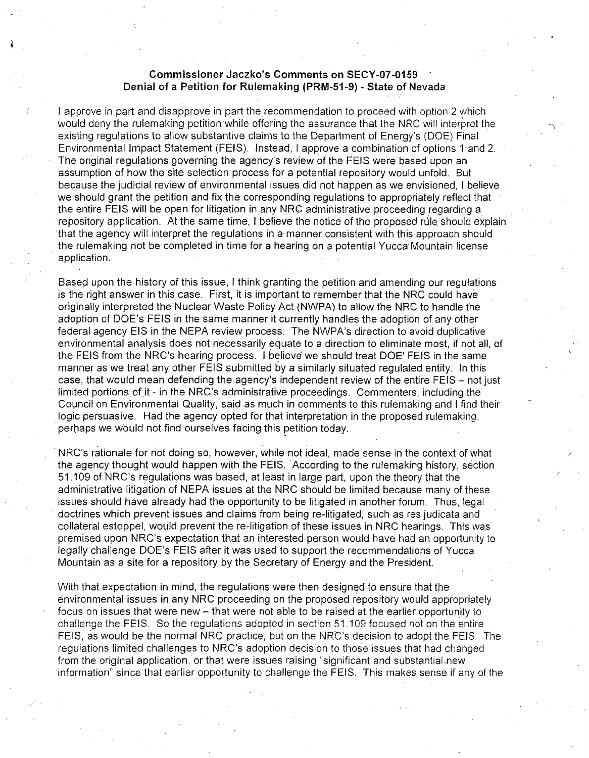#### Commissioner Jaczko's Comments on **SECY-07-0159** Denial of a Petition for Rulemaking (PRM-51-9) - State of Nevada

I approve in part and disapprove in part the recommendation to proceed with option 2 which would deny the rulemaking petition while offering the assurance that the NRC will interpret the existing regulations to allow substantive claims to the Department of Energy's (DOE) Final Environmental Impact Statement (FEIS). Instead, I approve a combination of options 1 and 2. The original regulations governing the agency's review of the **FEIS** were based upon an assumption of how the site selection process for a potential repository would unfold. But because the judicial review of environmental issues did not happen as we envisioned, I believe we should grant the petition and fix the corresponding regulations to appropriately reflect that the entire FEIS will be open for litigation in any NRC administrative proceeding regarding a repository application. At the same time, I believe the notice of the proposed rule should explain that the agency will interpret the regulations in a manner consistent with this approach should the rulemaking not be completed in time for a hearing on a potential Yucca Mountain license application.

Based upon the history of this issue, I think granting the petition and amending our regulations is the right answer in this case. First, it is important to remember that the NRC could have originally interpreted the Nuclear Waste Policy Act (NWPA) to allow the NRC to handle the adoption of DOE's FEIS in the same manner it currently handles the adoption of any other federal agency EIS in the NEPA review process. The NWPA's direction to avoid duplicative environmental analysis does not necessarily equate to a direction to eliminate most, if not all, of the FEIS from the NRC's hearing process. I believe we should treat DOE' FEIS in the same manner as we treat any other FEIS submitted by a similarly situated regulated entity. In this case, that would mean defending the agency's independent review of the entire FEIS **-** not just limited portions of it - in the NRC's administrative proceedings. Commenters, including the Council on Environmental Quality, said as much in comments to this rulemaking and I find their logic persuasive. Had the agency opted for that interpretation in the proposed rulemaking, perhaps we would not find ourselves facing this petition today.

NRC's rationale for not doing so, however, while not ideal, made sense in the context of what the agency thought would happen with the FEIS. According to the rulemaking history, section 51.109 of NRC's regulations was based, at least in large part, upon the theory that the administrative litigation of NEPA issues at the NRC should be limited because many of these issues should have already had the opportunity to be litigated in another forum. Thus, legal doctrines which prevent issues and claims from being re-litigated, such as res judicata and collateral estoppel, would prevent the re-litigation of these issues in NRC hearings. This was premised upon NRC's expectation that an interested person would have had an opportunity to legally challenge DOE's **FEIS** after it was used to support the recommendations of Yucca Mountain as a site for a repository by the Secretary of Energy and the President.

With that expectation in mind, the regulations were then designed to ensure that the environmental issues in any NRC proceeding on the proposed repository would appropriately focus on issues that were new - that were not able to be raised at the earlier opportunity to challenge the FEIS. So the regulations adopted in section 51,109 focused not on the entire FEIS, as would be the normal NRC practice, but on the NRC's decision to adopt the FEIS The regulations limited challenges to NRC's adoption decision to those issues that had changed from the original application, or that were issues raising "significant and substantial.new information" since that earlier opportunity to challenge the FEIS. This makes sense if any of the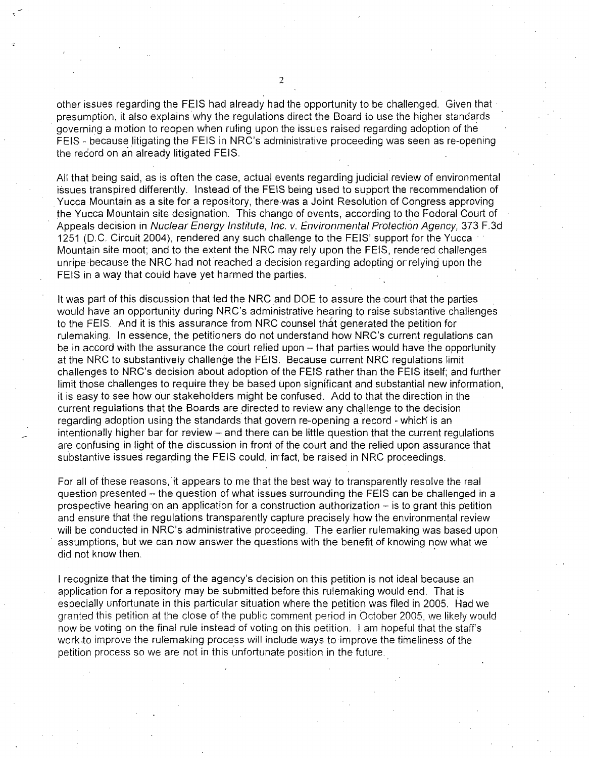other issues regarding the FEIS had already had the opportunity to be challenged. Given that presumption, it also explains why the regulations direct the Board to use the higher standards governing a motion to reopen when ruling upon the issues raised regarding adoption of the FEIS - because litigating the FEIS in NRC's administrative proceeding was seen as re-opening the redord on an already litigated FEIS.

All that being said, as is often the case, actual events regarding judicial review of environmental issues transpired differently. Instead of the FEIS being used to support the recommendation of Yucca Mountain as a site for a repository, there was a Joint Resolution of Congress approving the Yucca Mountain site designation. This change of events, according to the Federal Court of Appeals decision in *Nuclear Energy Institute, Inc. v. Environmental Protection Agency,* 373 F.3d 1251 (D.C. Circuit 2004), rendered any such challenge to the **FEIS'** support for the Yucca **-** " Mountain site moot; and to the extent the NRC may rely upon the FEIS, rendered challenges unripe because the NRC had not reached a decision regarding adopting or relying upon the FEIS in a way that could have yet harmed the parties.

It was part of this discussion that led the NRC and DOE to assure the court that the parties would have an opportunity during NRC's administrative hearing to raise substantive challenges to the FEIS. And it is this assurance from NRC counsel that generated the petition for rulemaking. In essence, the petitioners do not understand how NRC's current regulations can be in accord with the assurance the court relied upon – that parties would have the opportunity at the NRC to substantively challenge the FEIS. Because current NRC regulations limit challenges to NRC's decision about adoption of the FEIS rather than the FEIS itself; and further limit those challenges to require they be based upon significant and substantial new information, it is easy to see how our stakeholders might be confused. Add to that the direction in the current regulations that the Boards are directed to review any challenge to the decision regarding adoption using the standards that govern re-opening a record - which' is an intentionally higher bar for review - and there can be little question that the current regulations are confusing in light of the discussion in front of the court and the relied upon assurance that substantive issues regarding the FEIS could, in-fact, be raised in NRC proceedings.

For all of these reasons, it appears to me that the best way to transparently resolve the real question presented - the question of what issues surrounding the FEIS can be challenged in a prospective hearing on an application for a construction authorization  $-$  is to grant this petition and ensure that the regulations transparently capture precisely how the environmental review will be conducted in NRC's administrative proceeding. The earlier rulemaking was based upon assumptions, but we can now answer the questions with the benefit of knowing now what we did not know then.

I recognize that the timing of the agency's decision on this petition is not ideal because an application for a repository may be submitted before this rulemaking would end. That is especially unfortunate in this particular situation where the petition was filed in 2005. Had we granted this petition at the close of the public comment period in October 2005, we likely would now be voting on the final rule instead of voting on this petition. I am hopeful that the staff's workto improve the rulemaking process will include ways to-improve the timeliness of the petition process so we are not in this unfortunate position in the future.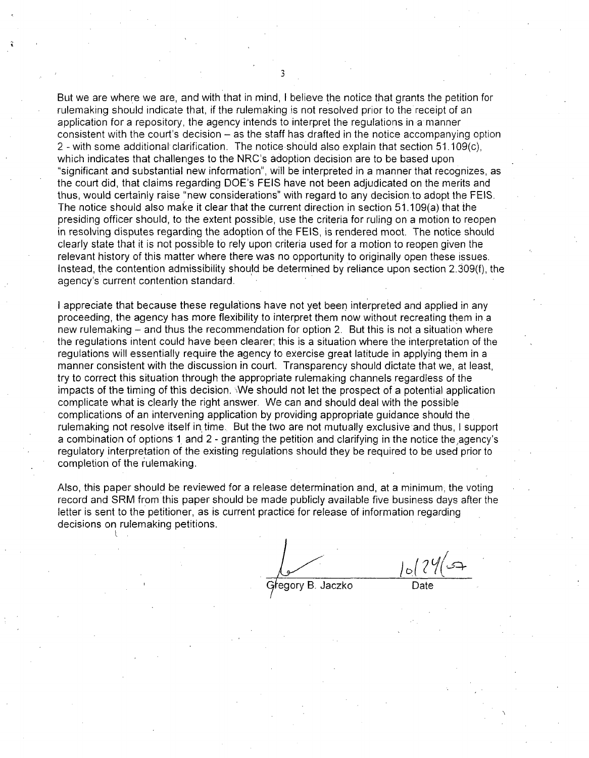But we are where we are, and with that in mind, I believe the notice that grants the petition for rulemaking should indicate that, if the rulemaking is not resolved prior to the receipt of an application for a repository, the agency intends to interpret the regulations in amanner consistent with the court's decision – as the staff has drafted in the notice accompanying option 2 - with some additional clarification. The notice should also explain that section 51.109(c), which indicates that challenges to the NRC's adoption decision are to be based upon "significant and substantial new information", will be interpreted in a manner that recognizes, as the court did, that claims regarding DOE's FEIS have not been adjudicated on the merits and thus, would certainly raise "new considerations" with regard to any decision to adopt the FEIS. The notice should also make it clear that the current direction in section 51.109(a) that the presiding officer should, to the extent possible, use the criteria for ruling on a motion to reopen in resolving disputes regarding the adoption of the FEIS, is rendered moot. The notice should clearly state that it is not possible to rely upon criteria used for a motion to reopen given the relevant history of this matter where there was no opportunity to originally open these issues. Instead, the contention admissibility should be determined by reliance upon section 2.309(f), the agency's current contention standard.

I appreciate that because these regulations have not yet been interpreted and applied in any proceeding, the agency has more flexibility to interpret them now without recreating them in a new rulemaking - and thus the recommendation for option 2. But this is not a situation where the regulations intent could have been clearer; this is a situation where the interpretation of the regulations will essentially require the agency to exercise great latitude in applying them in a manner consistent with the discussion in court. Transparency should dictate that we, at least, try to correct this situation through the appropriate rulemaking channels regardless of the impacts of the timing of this decision. We should not let the prospect of a potential application complicate what is clearly the right answer. We can and should deal with the possible complications of an intervening application by providing appropriate guidance should the rulemaking not resolve itself in time. But the two are not mutually exclusive and thus, I support a combination of options 1 and 2 - granting the petition and clarifying in the notice the,agency's regulatory interpretation of the existing regulations should they be required to be used prior to completion of the rulemaking.

Also, this paper should be reviewed for a release determination and, at a minimum, the voting record and SRM from this paper should be made publicly available five business days after the letter is sent to the petitioner, as is current practice for release of information regarding decisions on rulemaking petitions.

*J'Iý*Gregory B. Jaczko

3